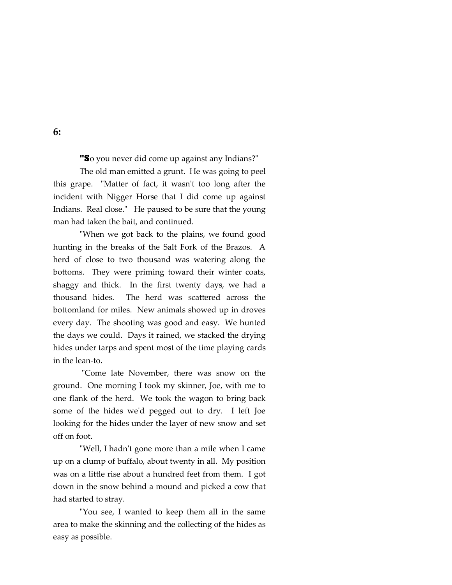**"S**o you never did come up against any Indians?"

 The old man emitted a grunt. He was going to peel this grape. "Matter of fact, it wasn't too long after the incident with Nigger Horse that I did come up against Indians. Real close." He paused to be sure that the young man had taken the bait, and continued.

"When we got back to the plains, we found good hunting in the breaks of the Salt Fork of the Brazos. A herd of close to two thousand was watering along the bottoms. They were priming toward their winter coats, shaggy and thick. In the first twenty days, we had a thousand hides. The herd was scattered across the bottomland for miles. New animals showed up in droves every day. The shooting was good and easy. We hunted the days we could. Days it rained, we stacked the drying hides under tarps and spent most of the time playing cards in the lean-to.

 "Come late November, there was snow on the ground. One morning I took my skinner, Joe, with me to one flank of the herd. We took the wagon to bring back some of the hides we'd pegged out to dry. I left Joe looking for the hides under the layer of new snow and set off on foot.

 "Well, I hadn't gone more than a mile when I came up on a clump of buffalo, about twenty in all. My position was on a little rise about a hundred feet from them. I got down in the snow behind a mound and picked a cow that had started to stray.

 "You see, I wanted to keep them all in the same area to make the skinning and the collecting of the hides as easy as possible.

## **6:**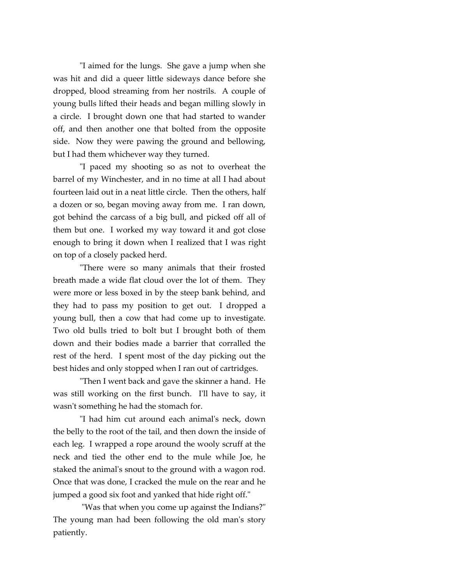"I aimed for the lungs. She gave a jump when she was hit and did a queer little sideways dance before she dropped, blood streaming from her nostrils. A couple of young bulls lifted their heads and began milling slowly in a circle. I brought down one that had started to wander off, and then another one that bolted from the opposite side. Now they were pawing the ground and bellowing, but I had them whichever way they turned.

 "I paced my shooting so as not to overheat the barrel of my Winchester, and in no time at all I had about fourteen laid out in a neat little circle. Then the others, half a dozen or so, began moving away from me. I ran down, got behind the carcass of a big bull, and picked off all of them but one. I worked my way toward it and got close enough to bring it down when I realized that I was right on top of a closely packed herd.

 "There were so many animals that their frosted breath made a wide flat cloud over the lot of them. They were more or less boxed in by the steep bank behind, and they had to pass my position to get out. I dropped a young bull, then a cow that had come up to investigate. Two old bulls tried to bolt but I brought both of them down and their bodies made a barrier that corralled the rest of the herd. I spent most of the day picking out the best hides and only stopped when I ran out of cartridges.

 "Then I went back and gave the skinner a hand. He was still working on the first bunch. I'll have to say, it wasn't something he had the stomach for.

 "I had him cut around each animal's neck, down the belly to the root of the tail, and then down the inside of each leg. I wrapped a rope around the wooly scruff at the neck and tied the other end to the mule while Joe, he staked the animal's snout to the ground with a wagon rod. Once that was done, I cracked the mule on the rear and he jumped a good six foot and yanked that hide right off."

 "Was that when you come up against the Indians?" The young man had been following the old man's story patiently.